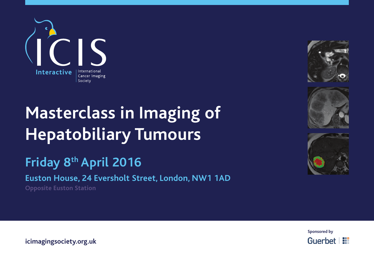

# **Masterclass in Imaging of Hepatobiliary Tumours**

## **Friday 8th April 2016**

**Euston House, 24 Eversholt Street, London, NW1 1AD**

**Opposite Euston Station**









**icimagingsociety.org.uk**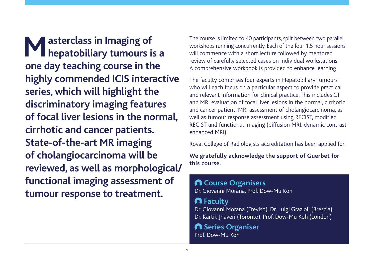**Masterclass in Imaging of<br>
Masterclass in Imaging of hepatobiliary tumours is a one day teaching course in the highly commended ICIS interactive series, which will highlight the discriminatory imaging features of focal liver lesions in the normal, cirrhotic and cancer patients. State-of-the-art MR imaging of cholangiocarcinoma will be reviewed, as well as morphological/ functional imaging assessment of tumour response to treatment.**

The course is limited to 40 participants, split between two parallel workshops running concurrently. Each of the four 1.5 hour sessions will commence with a short lecture followed by mentored review of carefully selected cases on individual workstations. A comprehensive workbook is provided to enhance learning.

The faculty comprises four experts in Hepatobiliary Tumours who will each focus on a particular aspect to provide practical and relevant information for clinical practice. This includes CT and MRI evaluation of focal liver lesions in the normal, cirrhotic and cancer patient; MRI assessment of cholangiocarcinoma, as well as tumour response assessment using RECIST, modified RECIST and functional imaging (diffusion MRI, dynamic contrast enhanced MRI).

Royal College of Radiologists accreditation has been applied for.

**We gratefully acknowledge the support of Guerbet for this course.**

### **Course Organisers** Dr. Giovanni Morana, Prof. Dow-Mu Koh **Faculty** Dr. Giovanni Morana (Treviso), Dr. Luigi Grazioli (Brescia), Dr. Kartik Jhaveri (Toronto), Prof. Dow-Mu Koh (London)

**A** Series Organiser Prof. Dow-Mu Koh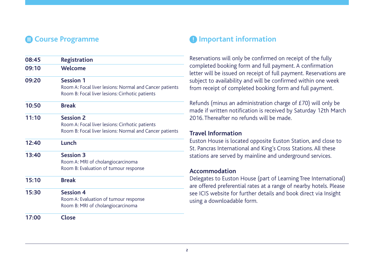| 08:45 | <b>Registration</b>                                                                                                            |
|-------|--------------------------------------------------------------------------------------------------------------------------------|
| 09:10 | Welcome                                                                                                                        |
| 09:20 | <b>Session 1</b><br>Room A: Focal liver lesions: Normal and Cancer patients<br>Room B: Focal liver lesions: Cirrhotic patients |
| 10:50 | <b>Break</b>                                                                                                                   |
| 11:10 | <b>Session 2</b><br>Room A: Focal liver lesions: Cirrhotic patients<br>Room B: Focal liver lesions: Normal and Cancer patients |
| 12:40 | Lunch                                                                                                                          |
| 13:40 | <b>Session 3</b><br>Room A: MRI of cholangiocarcinoma<br>Room B: Evaluation of tumour response                                 |
| 15:10 | <b>Break</b>                                                                                                                   |
| 15:30 | <b>Session 4</b><br>Room A: Evaluation of tumour response<br>Room B: MRI of cholangiocarcinoma                                 |
| 17:00 | <b>Close</b>                                                                                                                   |

#### **Example 2 Course Programme Important information**

Reservations will only be confirmed on receipt of the fully completed booking form and full payment. A confirmation letter will be issued on receipt of full payment. Reservations are subject to availability and will be confirmed within one week from receipt of completed booking form and full payment.

Refunds (minus an administration charge of £70) will only be made if written notification is received by Saturday 12th March 2016. Thereafter no refunds will be made.

#### **Travel Information**

Euston House is located opposite Euston Station, and close to St. Pancras International and King's Cross Stations. All these stations are served by mainline and underground services.

#### **Accommodation**

Delegates to Euston House (part of Learning Tree International) are offered preferential rates at a range of nearby hotels. Please see ICIS website for further details and book direct via Insight using a downloadable form.